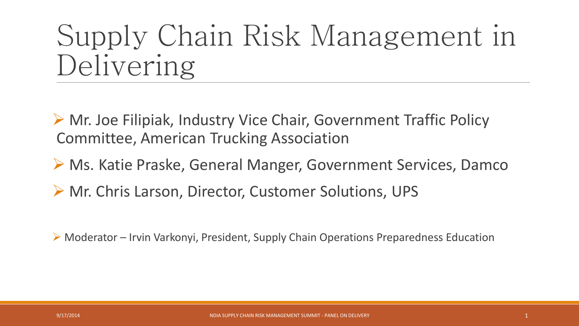## Supply Chain Risk Management in Delivering

▶ Mr. Joe Filipiak, Industry Vice Chair, Government Traffic Policy Committee, American Trucking Association

- ▶ Ms. Katie Praske, General Manger, Government Services, Damco
- ▶ Mr. Chris Larson, Director, Customer Solutions, UPS

Moderator – Irvin Varkonyi, President, Supply Chain Operations Preparedness Education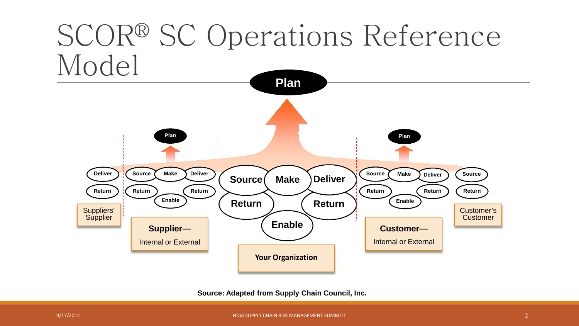

**Source: Adapted from Supply Chain Council, Inc.**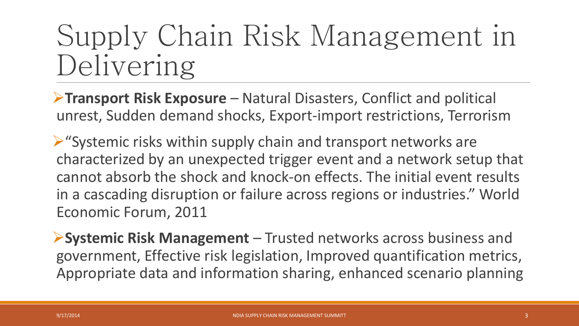## Supply Chain Risk Management in Delivering

**Transport Risk Exposure** – Natural Disasters, Conflict and political unrest, Sudden demand shocks, Export-import restrictions, Terrorism

 $\triangleright$  "Systemic risks within supply chain and transport networks are characterized by an unexpected trigger event and a network setup that cannot absorb the shock and knock-on effects. The initial event results in a cascading disruption or failure across regions or industries." World Economic Forum, 2011

**Systemic Risk Management** – Trusted networks across business and government, Effective risk legislation, Improved quantification metrics, Appropriate data and information sharing, enhanced scenario planning